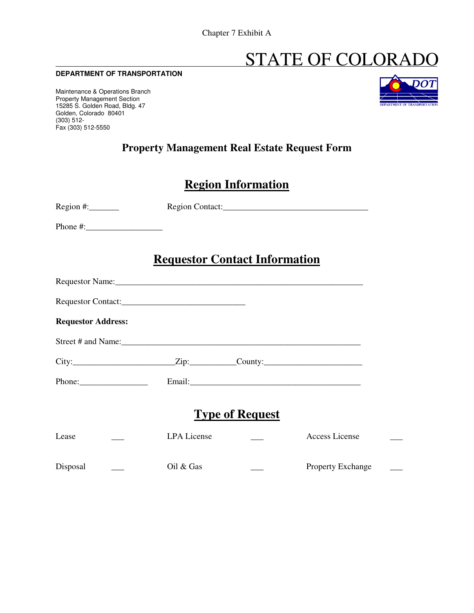# STATE OF COLORADO

#### **DEPARTMENT OF TRANSPORTATION**

Maintenance & Operations Branch Property Management Section 15285 S. Golden Road, Bldg. 47 Golden, Colorado 80401 (303) 512- Fax (303) 512-5550



## **Property Management Real Estate Request Form**

## **Region Information**

| $Region \#:\_\_\_\_\_\_\_\_\$ |                    |                                      |                          |  |
|-------------------------------|--------------------|--------------------------------------|--------------------------|--|
|                               |                    |                                      |                          |  |
|                               |                    | <b>Requestor Contact Information</b> |                          |  |
|                               |                    |                                      |                          |  |
|                               |                    |                                      |                          |  |
| <b>Requestor Address:</b>     |                    |                                      |                          |  |
|                               |                    |                                      |                          |  |
| $City:$ City: County:         |                    |                                      |                          |  |
|                               |                    |                                      |                          |  |
| <b>Type of Request</b>        |                    |                                      |                          |  |
| Lease                         | <b>LPA</b> License |                                      | <b>Access License</b>    |  |
| Disposal                      | Oil & Gas          |                                      | <b>Property Exchange</b> |  |